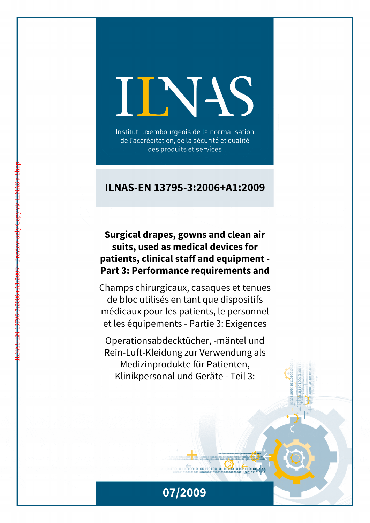# IINN

Institut luxembourgeois de la normalisation de l'accréditation, de la sécurité et qualité des produits et services

## **ILNAS-EN 13795-3:2006+A1:2009**

# **Surgical drapes, gowns and clean air suits, used as medical devices for patients, clinical staff and equipment - Part 3: Performance requirements and**

Champs chirurgicaux, casaques et tenues de bloc utilisés en tant que dispositifs médicaux pour les patients, le personnel et les équipements - Partie 3: Exigences

Operationsabdecktücher, -mäntel und Rein-Luft-Kleidung zur Verwendung als Medizinprodukte für Patienten, Klinikpersonal und Geräte - Teil 3:



 $1011010010 00110100101101001001101001111$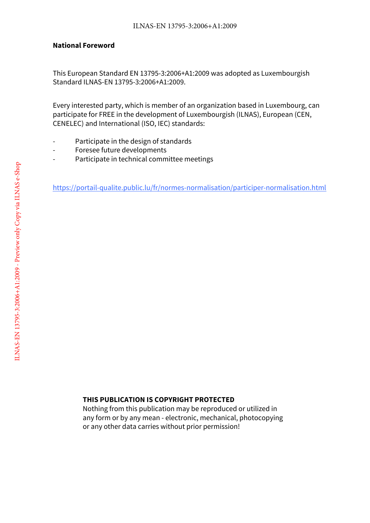#### **National Foreword**

This European Standard EN 13795-3:2006+A1:2009 was adopted as Luxembourgish Standard ILNAS-EN 13795-3:2006+A1:2009.

Every interested party, which is member of an organization based in Luxembourg, can participate for FREE in the development of Luxembourgish (ILNAS), European (CEN, CENELEC) and International (ISO, IEC) standards:

- Participate in the design of standards
- Foresee future developments
- Participate in technical committee meetings

https://portail-qualite.public.lu/fr/normes-normalisation/participer-normalisation.html

#### **THIS PUBLICATION IS COPYRIGHT PROTECTED**

Nothing from this publication may be reproduced or utilized in any form or by any mean - electronic, mechanical, photocopying or any other data carries without prior permission!